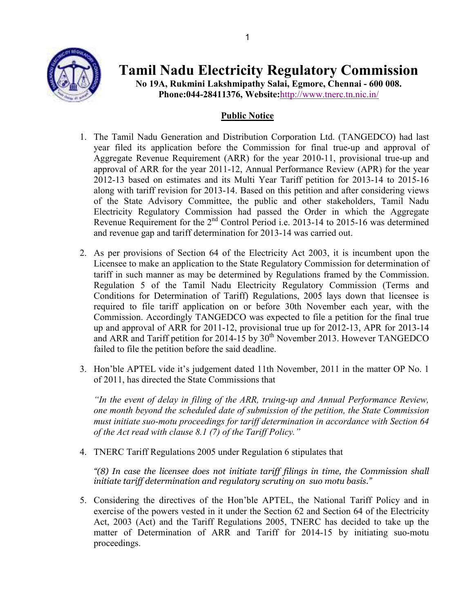

Tamil Nadu Electricity Regulatory Commission

No 19A, Rukmini Lakshmipathy Salai, Egmore, Chennai - 600 008. Phone:044-28411376, Website:http://www.tnerc.tn.nic.in/

## Public Notice

- 1. The Tamil Nadu Generation and Distribution Corporation Ltd. (TANGEDCO) had last year filed its application before the Commission for final true-up and approval of Aggregate Revenue Requirement (ARR) for the year 2010-11, provisional true-up and approval of ARR for the year 2011-12, Annual Performance Review (APR) for the year 2012-13 based on estimates and its Multi Year Tariff petition for 2013-14 to 2015-16 along with tariff revision for 2013-14. Based on this petition and after considering views of the State Advisory Committee, the public and other stakeholders, Tamil Nadu Electricity Regulatory Commission had passed the Order in which the Aggregate Revenue Requirement for the 2<sup>nd</sup> Control Period i.e. 2013-14 to 2015-16 was determined and revenue gap and tariff determination for 2013-14 was carried out.
- 2. As per provisions of Section 64 of the Electricity Act 2003, it is incumbent upon the Licensee to make an application to the State Regulatory Commission for determination of tariff in such manner as may be determined by Regulations framed by the Commission. Regulation 5 of the Tamil Nadu Electricity Regulatory Commission (Terms and Conditions for Determination of Tariff) Regulations, 2005 lays down that licensee is required to file tariff application on or before 30th November each year, with the Commission. Accordingly TANGEDCO was expected to file a petition for the final true up and approval of ARR for 2011-12, provisional true up for 2012-13, APR for 2013-14 and ARR and Tariff petition for 2014-15 by  $30<sup>th</sup>$  November 2013. However TANGEDCO failed to file the petition before the said deadline.
- 3. Hon'ble APTEL vide it's judgement dated 11th November, 2011 in the matter OP No. 1 of 2011, has directed the State Commissions that

"In the event of delay in filing of the ARR, truing-up and Annual Performance Review, one month beyond the scheduled date of submission of the petition, the State Commission must initiate suo-motu proceedings for tariff determination in accordance with Section 64 of the Act read with clause 8.1 (7) of the Tariff Policy."

4. TNERC Tariff Regulations 2005 under Regulation 6 stipulates that

"(8) In case the licensee does not initiate tariff filings in time, the Commission shall initiate tariff determination and regulatory scrutiny on suo motu basis."

5. Considering the directives of the Hon'ble APTEL, the National Tariff Policy and in exercise of the powers vested in it under the Section 62 and Section 64 of the Electricity Act, 2003 (Act) and the Tariff Regulations 2005, TNERC has decided to take up the matter of Determination of ARR and Tariff for 2014-15 by initiating suo-motu proceedings.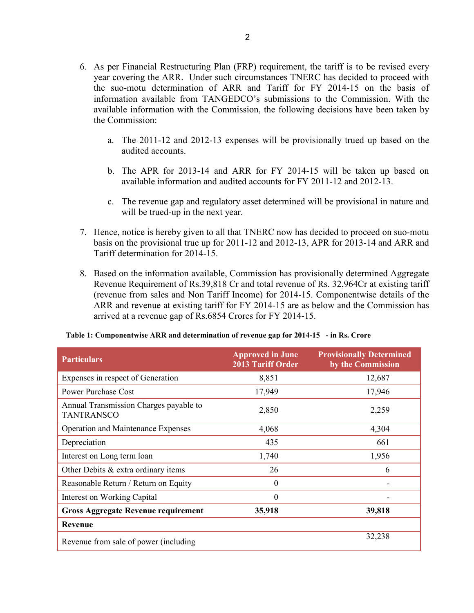- 6. As per Financial Restructuring Plan (FRP) requirement, the tariff is to be revised every year covering the ARR. Under such circumstances TNERC has decided to proceed with the suo-motu determination of ARR and Tariff for FY 2014-15 on the basis of information available from TANGEDCO's submissions to the Commission. With the available information with the Commission, the following decisions have been taken by the Commission:
	- a. The 2011-12 and 2012-13 expenses will be provisionally trued up based on the audited accounts.
	- b. The APR for 2013-14 and ARR for FY 2014-15 will be taken up based on available information and audited accounts for FY 2011-12 and 2012-13.
	- c. The revenue gap and regulatory asset determined will be provisional in nature and will be trued-up in the next year.
- 7. Hence, notice is hereby given to all that TNERC now has decided to proceed on suo-motu basis on the provisional true up for 2011-12 and 2012-13, APR for 2013-14 and ARR and Tariff determination for 2014-15.
- 8. Based on the information available, Commission has provisionally determined Aggregate Revenue Requirement of Rs.39,818 Cr and total revenue of Rs. 32,964Cr at existing tariff (revenue from sales and Non Tariff Income) for 2014-15. Componentwise details of the ARR and revenue at existing tariff for FY 2014-15 are as below and the Commission has arrived at a revenue gap of Rs.6854 Crores for FY 2014-15.

| <b>Particulars</b>                                          | <b>Approved in June</b><br><b>2013 Tariff Order</b> | <b>Provisionally Determined</b><br>by the Commission |  |
|-------------------------------------------------------------|-----------------------------------------------------|------------------------------------------------------|--|
| Expenses in respect of Generation                           | 8,851                                               | 12,687                                               |  |
| <b>Power Purchase Cost</b>                                  | 17,949                                              | 17,946                                               |  |
| Annual Transmission Charges payable to<br><b>TANTRANSCO</b> | 2,850                                               | 2,259                                                |  |
| <b>Operation and Maintenance Expenses</b>                   | 4,068                                               | 4,304                                                |  |
| Depreciation                                                | 435                                                 | 661                                                  |  |
| Interest on Long term loan                                  | 1,740                                               | 1,956                                                |  |
| Other Debits $&$ extra ordinary items                       | 26                                                  | 6                                                    |  |
| Reasonable Return / Return on Equity                        | 0                                                   |                                                      |  |
| Interest on Working Capital                                 | $\theta$                                            |                                                      |  |
| <b>Gross Aggregate Revenue requirement</b>                  | 35,918                                              | 39,818                                               |  |
| Revenue                                                     |                                                     |                                                      |  |
| Revenue from sale of power (including                       |                                                     | 32,238                                               |  |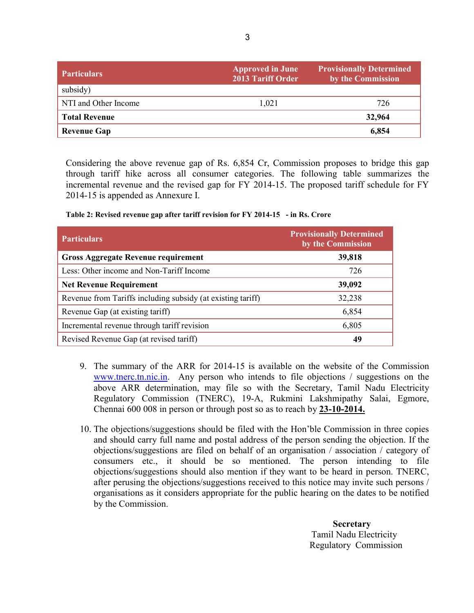| <b>Particulars</b>   | <b>Approved in June</b><br><b>2013 Tariff Order</b> | <b>Provisionally Determined</b><br>by the Commission |
|----------------------|-----------------------------------------------------|------------------------------------------------------|
| subsidy)             |                                                     |                                                      |
| NTI and Other Income | 1.021                                               | 726                                                  |
| <b>Total Revenue</b> |                                                     | 32,964                                               |
| <b>Revenue Gap</b>   |                                                     | 6,854                                                |

Considering the above revenue gap of Rs. 6,854 Cr, Commission proposes to bridge this gap through tariff hike across all consumer categories. The following table summarizes the incremental revenue and the revised gap for FY 2014-15. The proposed tariff schedule for FY 2014-15 is appended as Annexure I.

| <b>Particulars</b>                                          | <b>Provisionally Determined</b><br>by the Commission |
|-------------------------------------------------------------|------------------------------------------------------|
| <b>Gross Aggregate Revenue requirement</b>                  | 39,818                                               |
| Less: Other income and Non-Tariff Income                    | 726                                                  |
| <b>Net Revenue Requirement</b>                              | 39,092                                               |
| Revenue from Tariffs including subsidy (at existing tariff) | 32,238                                               |
| Revenue Gap (at existing tariff)                            | 6,854                                                |
| Incremental revenue through tariff revision                 | 6,805                                                |
| Revised Revenue Gap (at revised tariff)                     | 49                                                   |

- 9. The summary of the ARR for 2014-15 is available on the website of the Commission www.tnerc.tn.nic.in. Any person who intends to file objections / suggestions on the above ARR determination, may file so with the Secretary, Tamil Nadu Electricity Regulatory Commission (TNERC), 19-A, Rukmini Lakshmipathy Salai, Egmore, Chennai 600 008 in person or through post so as to reach by 23-10-2014.
- 10. The objections/suggestions should be filed with the Hon'ble Commission in three copies and should carry full name and postal address of the person sending the objection. If the objections/suggestions are filed on behalf of an organisation / association / category of consumers etc., it should be so mentioned. The person intending to file objections/suggestions should also mention if they want to be heard in person. TNERC, after perusing the objections/suggestions received to this notice may invite such persons / organisations as it considers appropriate for the public hearing on the dates to be notified by the Commission.

**Secretary**  Tamil Nadu Electricity Regulatory Commission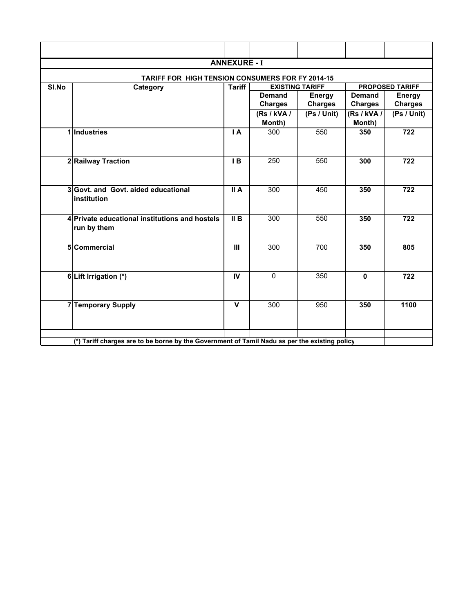|                                                                                               | <b>ANNEXURE - I</b>                            |                            |                        |                |                |                        |
|-----------------------------------------------------------------------------------------------|------------------------------------------------|----------------------------|------------------------|----------------|----------------|------------------------|
| TARIFF FOR HIGH TENSION CONSUMERS FOR FY 2014-15                                              |                                                |                            |                        |                |                |                        |
| SI.No                                                                                         | Category                                       | <b>Tariff</b>              | <b>EXISTING TARIFF</b> |                |                | <b>PROPOSED TARIFF</b> |
|                                                                                               |                                                |                            | <b>Demand</b>          | <b>Energy</b>  | <b>Demand</b>  | <b>Energy</b>          |
|                                                                                               |                                                |                            | <b>Charges</b>         | <b>Charges</b> | <b>Charges</b> | <b>Charges</b>         |
|                                                                                               |                                                |                            | (Rs / kVA /            | (Ps / Unit)    | (Rs / kVA /    | (Ps / Unit)            |
|                                                                                               |                                                |                            | Month)                 |                | Month)         |                        |
|                                                                                               | 1 Industries                                   | $\overline{A}$             | 300                    | 550            | 350            | 722                    |
|                                                                                               |                                                |                            |                        |                |                |                        |
|                                                                                               |                                                |                            |                        |                |                |                        |
|                                                                                               | 2 Railway Traction                             | IB                         | 250                    | 550            | 300            | 722                    |
|                                                                                               |                                                |                            |                        |                |                |                        |
|                                                                                               |                                                |                            |                        |                |                |                        |
|                                                                                               | 3 Govt. and Govt. aided educational            | $\overline{\mathsf{II}}$ A | 300                    | 450            | 350            | 722                    |
|                                                                                               | institution                                    |                            |                        |                |                |                        |
|                                                                                               |                                                |                            |                        |                |                |                        |
|                                                                                               | 4 Private educational institutions and hostels | $\overline{II}$ B          | 300                    | 550            | 350            | 722                    |
|                                                                                               | run by them                                    |                            |                        |                |                |                        |
|                                                                                               |                                                | $\mathbf{H}$               |                        |                |                |                        |
|                                                                                               | 5 Commercial                                   |                            | 300                    | 700            | 350            | 805                    |
|                                                                                               |                                                |                            |                        |                |                |                        |
|                                                                                               |                                                | IV                         | $\mathbf 0$            | 350            | $\mathbf{0}$   | 722                    |
|                                                                                               | 6 Lift Irrigation (*)                          |                            |                        |                |                |                        |
|                                                                                               |                                                |                            |                        |                |                |                        |
|                                                                                               | <b>7 Temporary Supply</b>                      | $\mathbf v$                | 300                    | 950            | 350            | 1100                   |
|                                                                                               |                                                |                            |                        |                |                |                        |
|                                                                                               |                                                |                            |                        |                |                |                        |
|                                                                                               |                                                |                            |                        |                |                |                        |
| (*) Tariff charges are to be borne by the Government of Tamil Nadu as per the existing policy |                                                |                            |                        |                |                |                        |